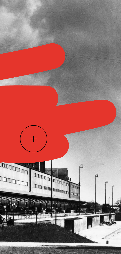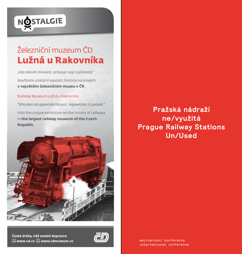

# Železniční muzeum ČD **Lužná u Rakovníka**

*"Kdo neocení minulost, ochuzuje svoji současnost."* Navštivte unikátní expozici historie na kolejích **v největším železničním muzeu v ČR**.

#### Railway Museum Lužná u Rakovníka

*"Who does not appreciate the past, impoverishes its present."* 

Visit the unique exhibition on the history of railways in **the largest railway museum of the Czech Republic**.



**České dráhy, Váš osobní dopravce www.cd.cz www.cdmuzeum.cz**



**Pražská nádraží ne/využitá Prague Railway Stations Un/Used**

mezinárodní konference international conference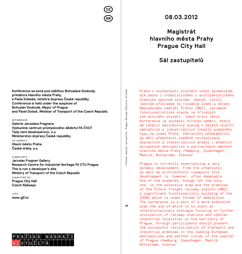### **08.03.2012**

# **Magistrát hlavního města Prahy Prague City Hall**

### **Sál zastupitelů**

**Konference se koná pod záštitou Bohuslava Svobody, primátora hlavního města Prahy, a Pavla Dobeše, ministra dopravy České republiky. Conference is held under the auspices of Bohuslav Svoboda, Mayor of Prague and Pavel Dobeš, Minister of Transport of the Czech Republic.** 

#### pořadatelé

**Galerie Jaroslava Fragnera Výzkumné centrum průmyslového dědictví FA ČVUT Tady není developerovo, o.s. Ministerstvo dopravy České republiky** za podpory **Hlavní město Praha České dráhy, a.s.**

#### organizers

**Jaroslav Fragner Gallery Research Centre for Industrial Heritage FA CTU Prague This is not a developer's site Ministry of Transport of the Czech Republic**

supported by **Prague City Hall Czech Railways**

info **www.gjf.cz**

 $P[R|A|\check{Z}|S|K|\check{A}| |N|\check{A}|D|R|A|\check{Z}|\check{I}$ 

Railway Stations Un/Used Pražská nádraží ne/využitá Prague Railway Stations Un/Used Prague ne/využitá Pražská nádraží

**5**

Praha v současnosti prochází velmi dynamickým, ale často z urbanistického i architektonického hlediska sporným vývojem. Jedním, nikoli jediným příkladem je rozsáhlé území a objekt Nákladového nádraží Žižkov (NNZ), významné funkcionalistické stavby ze třicátých let minulého století, jemuž hrozí zánik. Konference je součástí širšího záměru, který má zahájit mezioborový dialog o dalším využití nádražních a industriálních lokalit podobného typu na území Prahy. Zahraniční přednášející by měli představit úspěšné revitalizace dopravních a industriálních areálů v předních evropských metropolích a partnerských městech hlavního města Prahy /Hamburg, Copenhagen, Madrid, Rotterdam, Vienna/.

Prague is currently experiencing a very dynamic development. From the urbanistic as well as architectonic viewpoint this development is, however, often debatable. One of the examples, though not the only one, is the extensive area and the premises of the Žižkov freight railway station (NNZ), a significant functionalistic building of the 1930s which is under threat of demolition. The conference is a part of a more extensive plan the aim of which is to start an interdisciplinary dialogue focusing on further utilisation of railway stations and similar industrial localities on the territory of Prague. Foreign participants should present the successful revitalisation of transport and industrial premises in the leading European metropolises and partner cities of the capital of Prague /Hamburg, Copenhagen, Madrid, Rotterdam, Vienna/.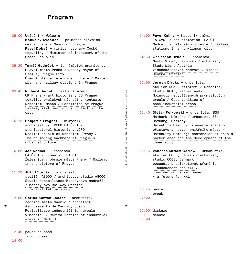## **Program**

- 09:00 Uvítání / Welcome **Bohuslav Svoboda** — primátor hlavního města Prahy / Mayor of Prague **Pavel Dobeš** — ministr dopravy České republiky / Minister of Transport of the Czech Republic
- 09:20 **Tomáš Hudeček** 1. náměstek primátora, Hlavní město Praha / Deputy Mayor of Prague, Prague City Územní plán a železnice v Praze / Master plan and railway stations in Prague
- 09:45 **Richard Biegel** historik umění, UK Praha / art historian, CU Prague Lokality pražských nádraží v kontextu urbanismu města / Localities of Prague railway stations in the context of the city
- 10:25 **Benjamin Fragner** historik architektury, VCPD FA ČVUT / architectural historian, VCPD Drolící se skelet urbanismu Prahy / The crumbling backbone of Prague's urban structure
- 10:55 **Jan Sedlák** urbanista, FA ČVUT / urbanist, FA CTU Železnice v obraze města Prahy / Railway in the picture of Prague
- 11:30 **Jiří Střítecký** architekt, ateliér A8000 / architect, studio A8000 Studie rehabilitace Masarykova nádraží / Masarykovo Railway Station - rehabilitation study
- 12:00 **Carlos Baztan Lacasa** architekt, radnice města Madrid / architect, Ayuntamiento de Madrid, Spain Revitalizace industriálních areálů v Madridu / Revitalization of industrial areas in Madrid

12:40 pauza na oběd ¦  $14 \cdot 00$ lunch break

**6**

Stations Un/Used Pražská nádraží ne/využitá Prague Railway Stations Un/Used Railway Prague ne/využitá nádraží Pražská

- 14:00 **Pavel Kalina** historik umění, FA ČVUT / art historian, FA CTU Nádraží v nelineárním městě / Railway stations in a non-linear city
- 14:30 **Christoph Hrncir** urbanista, Město Vídeň, Rakousko / urbanist, Stadt Wien, Austria Vídeňské hlavní nádraží / Vienna Central Station
- 15:05 **Jeroen Dirckx** urbanista, ateliér KCAP, Nizozemí / urbanist, studio KCAP, Netherlands Možnosti nevyužívaných průmyslových areálů / Opportunities of post-industrial areas
- 15:40 **Dieter Polkowski** urbanista, BSU Hamburk, Německo / urbanist, BSU Hamburg, Germany HafenCity Hamburk: konverze starého přístavu a rozvoj vnitřního města / HafenCity Hamburg: conversion of an old harbor area and the development of the inner city
- 16:15 **Vanessa Miriam Carlow** urbanistka, ateliér COBE, Dánsko / urbanist, studio COBE, Denmark posoudit prodiskutovat přeměnit – budoucnost pro XXL / consider converse convert - a future for XXL
- 16:45 pauza ¦ 17:00 break

#### **7**

17:00 diskuze ¦ debate  $18 \cdot 00$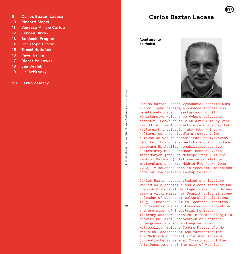- **9 Carlos Baztan Lacasa**
- **10 Richard Biegel**
- **11 Vanessa Miriam Carlow**
- **12 Jeroen Dirckx**
- **13 Benjamin Fragner**
- **14 Christoph Hrncir**
- **15 Tomáš Hudeček**
- **16 Pavel Kalina**
- **17 Dieter Polkowski**
- **18 Jan Sedlák**
- **19 Jiří Střítecký**
- **20 Jakub Železný**

# Stations Un/Used Pražská nádraží ne/využitá Prague Railway Stations Un/Used Railway Prague ne/využitá Pražská nádraží

**9**

### **Carlos Baztan Lacasa**

**Ayuntamiento de Madrid**



**ESP**

Carlos Baztan Lacasa vystudoval architekturu, působil jako pedagog a poradce španělského památkového ústavu. Zastupoval rovněž Ministerstvo kultury ve Výboru světového dědictví. Pohybuje se v oblasti kultury více než 30 let, vedl projekty a renovace desítek kulturních institucí, jako jsou knihovny, kulturní centra, divadla a muzea. Velmi aktivně se věnuje rehabilitaci průmyslového dědictví (knihovna a městský archiv v budově pivovaru El Águila, rehabilitace stanice a strojovny metra Chamberí nebo konverze madridských jatek na metropolitní kulturní centrum Matadero). Aktivně se podílel na masterplánu projektu Madrid Rio (dokončeno 2010). V současné době je vedoucím uměleckého oddělení madridského zastupitelstva.

Carlos Baztan Lacasa studied architecture, worked as a pedagogue and a consultant of the Spanish Historical Heritage Institute. He has been a vital member of Spanish cultural scene, a leader of dozens of cultural institutions (e.g. libraries, cultural centres, theatres and museums). He is interested in renovation and promotion of industrial heritage (library and town archive in former El Águila brewery building, renovation of Chamberí underground station and engine room or Metropolitan Culture Centre Matadero). He was a collaborator of the masterplan for the Madrid Rio project (finished in 2010). Currently he is General Coordinator of the Arts Departement of the city of Madrid.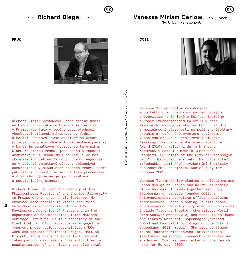**CZ DK**

### PhDr. **Richard Biegel**, Ph.D.

**Vanessa Miriam Carlow**, Dipl. Arch. MA Urban Management



Vanessa Miriam Carlow vystudovala architekturu a urbanismus na technických univerzitách v Berlíně a Delftu. Společně s Danem Stubbergaardem založili v roce 2005 architektonický ateliér COBE - studio s mezinárodní působností na poli architektury, urbanismu, veřejného prostoru a výzkumu. V posledních letech realizovali divadlo Taastrup (nominace na World Architecture Award 2010) a kulturní dům a knihovnu Nordvest v Kodani (medaile .Good and Beautiful Buildings of the City of Copenhagen 2011"). Spolupracuje s několika univerzitami (přednášky, semináře), výzkumnými instituty a akademiemi, je členkou Danish jury for Europan 2009.

Vanessa Miriam Carlow studied architecture and urban design at Berlin and Delft University of Technology. In 2005 together with Dan Stubbergaard, Vanessa founded COBE, an internationally operating office practicing architecture, urban planning, public space, and research. Recently completed COBE-projects include Taastrup Theater (shortlisted World Architecture Award 2010) and the Culture House and Library Nordvest, Copenhagen (awarded "Good and Beautiful Buildings of the City of Copenhagen 2011" medal). She also continues to collaborate with several universities (lectures, seminars), research institutes and academies. She has been member of the Danish jury for Europan 2009.



Richard Biegel vystudoval obor dějiny umění na Filozofické fakultě Univerzity Karlovy v Praze, kde také v současnosti přednáší. Absolvoval stipendijní pobyty ve Vídni a Paříži. Pracoval jako archivář na Útvaru rozvoje Prahy a v oddělení dokumentace památek v Národním památkovém ústavu. Je tajemníkem Klubu Za starou Prahu, jeho zájem o moderní architekturu a urbanismus ho vedl i do řad občanské iniciativy Za novou Prahu. Angažuje se v oblasti památkové péče, v občanských sdruženích a v aktuálních kauzách Prahy. Kromě publikační činnosti se věnuje také přednáškám a diskuzím. Významná je jeho osvětová a popularizační činnost.

Richard Biegel studied art history at the Philosophical Faculty of the Charles University in Prague where he currently lectures. He obtained scholarships in Vienna and Paris. He worked as an archivist of the City Development Authority of Prague and in the department of documentation of the National Heritage Institute. He is a secretary of the Czech Club for Old Prague. He is engaged in monument preservation, several Czech NGOs work and topical affairs of Prague. Next to his publishing track he gives lectures and takes part in discussions. His activities in popularisation of art history are also vital. **10**

Railway Stations Un/Used Pražská nádraží ne/využitá Prague Railway Stations Un/Used Prague F Pražská nádraží ne/využitá

 $\mathbf{r}$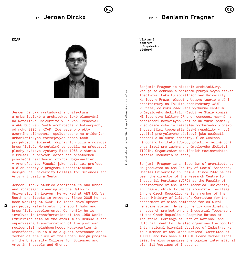## **NL CZ**

**12**



Jeroen Dirckx vystudoval architekturu a urbanistické a architektonické plánování na Katolické univerzitě v Leuven. Pracoval u AWG-bOb Van Reeth architects v Antverpách, od roku 2005 v KCAP. Zde vede projekty územního plánování, spolupracuje na smíšených urbanistických rozvojových projektech, projektech náplavek, dopravních uzlů a rozvoji brownfieldů. Momentálně se podílí na přestavbě plochy světové výstavy Expo 1958 v Atomiu v Bruselu a provádí dozor nad přestavbou poválečné rezidenční čtvrti Hogekwartier v Amersfoortu. Působí jako hostující profesor a člen poroty v programu Urbanistického designu na University College for Sciences and Arts v Bruselu a Gentu.

Jeroen Dirckx studied architecture and urban and strategic planning at the Catholic University in Leuven. He worked at AEG bOb Van Reeth architects in Antwerp. Since 2005 he has been working at KCAP. He leads development projects, waterfronts, transport hubs and brownfield developments. Currently he is involved in transformation of the 1958 World Exhibition site at the Atomium in Brussels and supervising transformation of the post war residential neighbourhoods Hogekwartier in Amersfoort. He is also a guest professor and member of the jury at the Urban Design program of the University College for Sciences and Arts in Brussels and Ghent.

Railway Stations Un/Used Pražská nádraží ne/využitá Prague Railway Stations Un/Used Prague F ne/využitá Pražská nádraží

**<u>m</u>** 

#### Ir. **Jeroen Dirckx** PhDr. Benjamin Fragner

**Výzkumné centrum průmyslového dědictví**



Benjamin Fragner je historik architektury, věnuje se ochraně a proměnám průmyslových staveb. Absolvoval Fakultu sociálních věd Univerzity Karlovy v Praze, působí v Ústavu teorie a dějin architektury na Fakultě architektury ČVUT v Praze, od roku 2002 vede Výzkumné centrum průmyslového dědictví. Působí ve Stálé komisi Ministerstva kultury ČR pro hodnocení návrhů na prohlášení nemovitých věcí za kulturní památky. V současné době je řešitelem výzkumného projektu Industriální topografie České republiky – nové využití průmyslového dědictví jako součásti národní a kulturní identity. Člen Českého národního komitétu ICOMOS, působí v mezinárodní organizaci pro záchranu průmyslového dědictví TICCIH. Organizátor populárních mezinárodních bienále Industriální stopy.

Benjamin Fragner is a historian of architecture. He graduated at the Faculty of Social Sciences, Charles University in Prague. Since 2002 he has been the director of the Research Centre for Industrial Heritage (VCPD) at the Faculty of Architecture of the Czech Technical University in Prague, which documents industrial heritage in the Czech Republic. He is a member of the Czech Ministry of Culture's Committee for the assessment of sites nominated for cultural heritage status. He is currently coordinating a research project on the Industrial Topography of the Czech Republic – Adaptive Re-use of Industrial Heritage as Part of National and Cultural Identity. He also organises the popular international biennial Vestiges of Industry. He is a member of the Czech National Committee of ICOMOS and has been a TICCIH Board member since 2009. He also organises the popular international biennial Vestiges of Industry.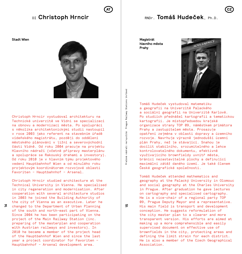**Stadt Wien**



Christoph Hrncir vystudoval architekturu na Technické univerzitě ve Vídni se specializací na obnovu a modernizaci města. Po spolupráci s několika architektonickými studii nastoupil v roce 2003 jako referent na stavebním úřadě vídeňského magistrátu, později do oddělení městského plánování v jižní a severovýchodní části Vídně. Od roku 2004 pracuje na projektu Hlavního nádraží (včetně přípravy masterplánu a spolupráce se Rakouský drahami a investory). Od roku 2010 je v hlavním týmu projektového vedení Hauptbahnhof Wien a od minulého roku projektovým koordinátorem rozvojové oblasti Favoriten – Hauptbahnhof – Arsenal.

Christoph Hrncir studied architecture at the Technical University in Vienna. He specialised in city regeneration and modernisation. After cooperation with several architecture studios in 2003 he joined the Building Authority of the city of Vienna as an executive. Later he changed to the Department of Urban Planning of the south and north-east part of Vienna. Since 2004 he has been participating on the project of the Main Railway Station (inc. preparing of the masterplan and cooperation with Austrian railways and investors). In 2010 he became a member of the project head of the Hauptbahnhof Wien and since the last year a project coordinator for Favoriten – Hauptbahnhof – Arsenal development area. **14**

Railway Stations Un/Used Pražská nádraží ne/využitá Prague Railway Stations Un/Used Prague Pražská nádraží ne/využitá

**15**

#### DI **Christoph Hrncir Night Christoph Hrncir** RNDr. **Tomáš Hudeček**, Ph.D.

**AT CZ**

**Magistrát hlavního města Prahy**



Tomáš Hudeček vystudoval matematiku a geografii na Univerzitě Palackého a sociální geografii na Univerzitě Karlově. Po studiích přednášel kartografii a tematickou kartografii. Je místopředsedou krajské organizace strany TOP 09, náměstkem primátora Prahy a zastupitelem města. Prosazuje opatření zejména v oblasti dopravy a územního rozvoje. Navrhuje výrazně jednodušší územní plán Prahy, než je stávající. Snahou je docílit stabilního, srozumitelného a lehce kontrolovatelného dokumentu, efektivně využívajícího brownfieldy uvnitř města, bránící nezastavitelné plochy a definující maximální zátěž daného území. Je také členem České geografické společnosti.

Tomáš Hudeček attended mathematics and geography at the Palacký University in Olomouc and social geography at the Charles University in Prague. After graduation he gave lectures on cartography and specialised cartography. He is a vice-chair of a regional party TOP 09, Prague Deputy Mayor and a representative. His main field is transport and development conception. He suggests reformulation of the city master plan to a clearer and more transparent version. His efforts are aimed at making up a more comprehensible and easily supervised document on effective use of brownfields in the city, protecting areas and defining the limit strain for each district. He is also a member of the Czech Geographical Association.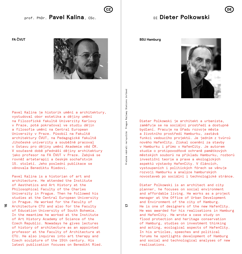## **CZ DE**



Pavel Kalina je historik umění a architektury, vystudoval obor estetika a dějiny umění na Filozofické fakultě Univerzity Karlovy v Praze, poté pokračoval ve studiu dějin a filosofie umění na Central European University v Praze. Působil na Fakultě architektury ČVUT, na Pedagogické fakultě Jihočeské univerzity a souběžně pracoval v Ústavu pro dějiny umění Akademie věd ČR. V současné době přednáší dějiny architektury jako profesor na FA ČVUT v Praze. Zabývá se rovněž arteterapií a českým sochařstvím 15. století. Jeho poslední publikace se věnovala Benediktu Riedovi.

Pavel Kalina is a historian of art and architecture. He attended the Institute of Aesthetics and Art History at the Philosophical Faculty of the Charles University in Prague. Then he followed his studies at the Central European University in Prague. He worked for the Faculty of

Architecture CTU and also for the Faculty **16** of Education University of South Bohemia. In the meantime he worked at the Institute of Art History Academy of Science of the Czech Republic. Nowadays he gives lectures of history of architecture as an appointed professor at the Faculty of Architecture at CTU. He also inquires into art therapy and Czech sculpture of the 15th century. His latest publication focuses on Benedikt Ried. Railway Stations Un/Used Pražská nádraží ne/využitá Prague Railway Stations Un/Used Prague Pražská nádraží ne/využitá

**17**

#### **prof. PhDr. Pavel Kalina**, CSc. **Dieter Polkowski**



Dieter Polkowski je architekt a urbanista, zaměřuje se na sociální prostředí a dostupné bydlení. Pracuje na Úřadu rozvoje města a životního prostředí Hamburku, zastává funkci vedoucího projektů. Je jedním z tvůrců nového HafenCity. Získal ocenění za stavby v Hamburku i přímo v HafenCity. Je autorem studie o protipovodňové ochraně památkových městských souborů na příkladu Hamburku, rozborů investiční teorie a praxe a ekologických aspektů výstavby HafenCity. V článcích, vystoupeních i politických fórech se věnuje rozvoji Hamburku a analýze hamburských novostaveb po sociální i technologické stránce.

Dieter Polkowski is an architect and city planner, he focuses on social environment and affordable living. He works as a project manager at the Office of Urban Development and Environment of the city of Hamburg. He is one of designers of the new HafenCity. He was awarded for his realisations in Hamburg and HafenCity. He wrote a case study on flood protection and heritage conservation of Hamburg, studies on investment thinking and acting, ecological aspects of HafenCity. In his articles, speeches and political forums he spotlights development of Hamburg and social and technological analyses of new realisations.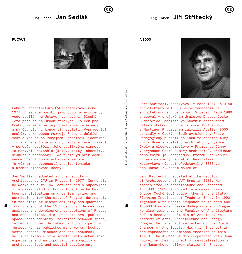



Fakultu architektury ČVUT absolvoval roku 1977. Dnes zde působí jako odborný asistent, vede ateliér na Ústavu navrhování. Dlouhá léta pracuje na urbanistických úkolech pro Prahu, zejména na její památkové rezervaci a na čtvrtích z konce 19. století. Vypracovává analýzy a koncepce rozvoje Prahy i dalších měst a věnuje se veřejnému prostoru, identitě místa a vztahům prostoru, hmoty a času, zasedá v porotách soutěží. Jeho publikační činnost je nezvykle rozsáhlá (knihy, texty, sborníky, diskuze a přednášky). Je typickým příkladem vědce působícího v urbanistické praxi, je významnou osobností architektonické a územně plánovací scény.

Jan Sedlák graduated at the Faculty of Architecture, CTU in Prague in 1977. Currently he works as a fellow lecturer and a supervisor of a design studio. For a long time he has been participating on urbanism juries and commissions for the city of Prague, dominantly in the field of historical city and quarters from the end of the 19th century. He realises **18** analyses and development conceptions of Prague

and other cities. His interests are: public space, area identity, relations between space, matter and time. He takes part in competition juries. He has published many works (books, texts, papers, discussions and lectures). He is an example of a scholar with urbanistic experience and an important personality of architectonical and spatial development.

Railway Stations Un/Used Pražská nádraží ne/využitá Prague Railway Stations Un/Used Prague Pražská nádraží ne/využitá

<u>ወ</u>



Jiří Střítecký absolvoval v roce 1980 Fakultu architektury VUT v Brně se zaměřením na architekturu a urbanismus. V letech 1980–1989 pracoval v projekčním družstvu Drupos České Budějovice, posléze ve Státním projekčním ústavu obchodu v Brně, v roce 1990 spolu s Martinem Krupauerem založili Atelier 8000 se sídly v Českých Budějovicích a v Praze. Pedagogicky působil na Fakultě architektury VUT v Brně a ateliéru architektury Vysoké školy uměleckoprůmyslové v Praze. Je činný v orgánech České komory architektů, předmětem jeho zájmu je urbanismus, kterému se věnuje i jako významný teoretik. Revitalizaci Masarykova nádraží představil A 8000 ve spolupráci s Jeanem Nouvelem.

Jan Střítecký graduated at the Faculty of Architecture of VUT Brno in 1980. He specialized in architecture and urbanism. In 1980——1989 he worked in a design team Drupos České Budějovice, then in the State Planning Institute of Trade in Brno. In 1990 together with Martin Krupauer he founded the A 8000 Studio in České Budějovice and Prague. He also taught at the Faculty of Architecture BUT in Brno and a Studio of Architecture, Academy of Arts, Architecture and Design Prague. He is an active member of the Czech Chamber of Architects. His main interest is and represents an eminent theorist on this field. The A 8000 Studio cooperated with Jean Nouvel on their project of revitalisation of the Masarykovo railway station in Prague.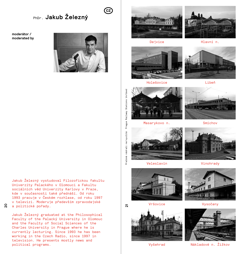

# PhDr. **Jakub Železný**

**moderátor / moderated by**



Jakub Železný vystudoval Filozofickou fakultu Univerzity Palackého v Olomouci a Fakultu sociálních věd Univerzity Karlovy v Praze, kde v současnosti také přednáší. Od roku 1993 pracuje v Českém rozhlase, od roku 1997 v televizi. Moderuje především zpravodajské a politické pořady.

Jakub Železný graduated at the Philosophical Faculty of the Palacký University in Olomouc and the Faculty of Social Sciences of the Charles University in Prague where he is currently lecturing. Since 1993 he has been working in the Czech Radio, since 1997 in television. He presents mostly news and political programs.



Veleslavín Vinohrady



if of

**21** 

Vršovice Vysočany





Vyšehrad Nákladové n. Žižkov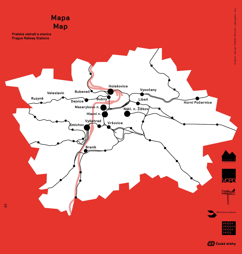